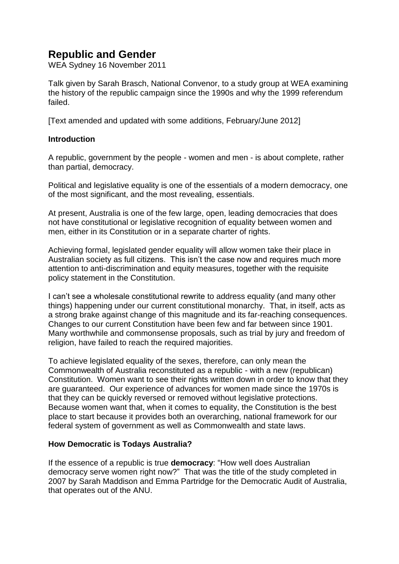# **Republic and Gender**

WEA Sydney 16 November 2011

Talk given by Sarah Brasch, National Convenor, to a study group at WEA examining the history of the republic campaign since the 1990s and why the 1999 referendum failed.

[Text amended and updated with some additions, February/June 2012]

## **Introduction**

A republic, government by the people - women and men - is about complete, rather than partial, democracy.

Political and legislative equality is one of the essentials of a modern democracy, one of the most significant, and the most revealing, essentials.

At present, Australia is one of the few large, open, leading democracies that does not have constitutional or legislative recognition of equality between women and men, either in its Constitution or in a separate charter of rights.

Achieving formal, legislated gender equality will allow women take their place in Australian society as full citizens. This isn't the case now and requires much more attention to anti-discrimination and equity measures, together with the requisite policy statement in the Constitution.

I can't see a wholesale constitutional rewrite to address equality (and many other things) happening under our current constitutional monarchy. That, in itself, acts as a strong brake against change of this magnitude and its far-reaching consequences. Changes to our current Constitution have been few and far between since 1901. Many worthwhile and commonsense proposals, such as trial by jury and freedom of religion, have failed to reach the required majorities.

To achieve legislated equality of the sexes, therefore, can only mean the Commonwealth of Australia reconstituted as a republic - with a new (republican) Constitution. Women want to see their rights written down in order to know that they are guaranteed. Our experience of advances for women made since the 1970s is that they can be quickly reversed or removed without legislative protections. Because women want that, when it comes to equality, the Constitution is the best place to start because it provides both an overarching, national framework for our federal system of government as well as Commonwealth and state laws.

## **How Democratic is Todays Australia?**

If the essence of a republic is true **democracy**: "How well does Australian democracy serve women right now?" That was the title of the study completed in 2007 by Sarah Maddison and Emma Partridge for the Democratic Audit of Australia, that operates out of the ANU.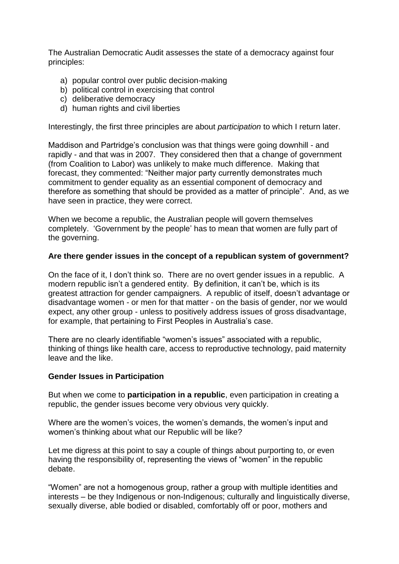The Australian Democratic Audit assesses the state of a democracy against four principles:

- a) popular control over public decision-making
- b) political control in exercising that control
- c) deliberative democracy
- d) human rights and civil liberties

Interestingly, the first three principles are about *participation* to which I return later.

Maddison and Partridge's conclusion was that things were going downhill - and rapidly - and that was in 2007. They considered then that a change of government (from Coalition to Labor) was unlikely to make much difference. Making that forecast, they commented: "Neither major party currently demonstrates much commitment to gender equality as an essential component of democracy and therefore as something that should be provided as a matter of principle". And, as we have seen in practice, they were correct.

When we become a republic, the Australian people will govern themselves completely. 'Government by the people' has to mean that women are fully part of the governing.

## **Are there gender issues in the concept of a republican system of government?**

On the face of it, I don't think so. There are no overt gender issues in a republic. A modern republic isn't a gendered entity. By definition, it can't be, which is its greatest attraction for gender campaigners. A republic of itself, doesn't advantage or disadvantage women - or men for that matter - on the basis of gender, nor we would expect, any other group - unless to positively address issues of gross disadvantage, for example, that pertaining to First Peoples in Australia's case.

There are no clearly identifiable "women's issues" associated with a republic, thinking of things like health care, access to reproductive technology, paid maternity leave and the like.

## **Gender Issues in Participation**

But when we come to **participation in a republic**, even participation in creating a republic, the gender issues become very obvious very quickly.

Where are the women's voices, the women's demands, the women's input and women's thinking about what our Republic will be like?

Let me digress at this point to say a couple of things about purporting to, or even having the responsibility of, representing the views of "women" in the republic debate.

"Women" are not a homogenous group, rather a group with multiple identities and interests – be they Indigenous or non-Indigenous; culturally and linguistically diverse, sexually diverse, able bodied or disabled, comfortably off or poor, mothers and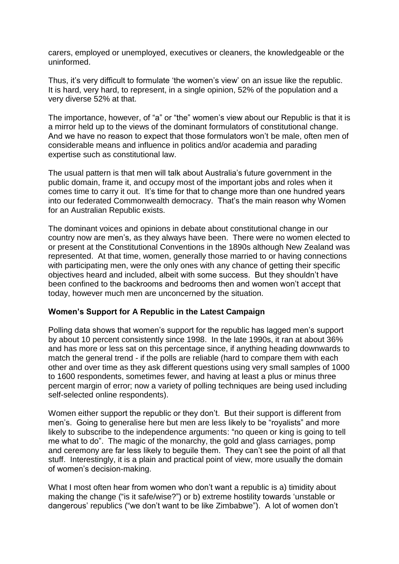carers, employed or unemployed, executives or cleaners, the knowledgeable or the uninformed.

Thus, it's very difficult to formulate 'the women's view' on an issue like the republic. It is hard, very hard, to represent, in a single opinion, 52% of the population and a very diverse 52% at that.

The importance, however, of "a" or "the" women's view about our Republic is that it is a mirror held up to the views of the dominant formulators of constitutional change. And we have no reason to expect that those formulators won't be male, often men of considerable means and influence in politics and/or academia and parading expertise such as constitutional law.

The usual pattern is that men will talk about Australia's future government in the public domain, frame it, and occupy most of the important jobs and roles when it comes time to carry it out. It's time for that to change more than one hundred years into our federated Commonwealth democracy. That's the main reason why Women for an Australian Republic exists.

The dominant voices and opinions in debate about constitutional change in our country now are men's, as they always have been. There were no women elected to or present at the Constitutional Conventions in the 1890s although New Zealand was represented. At that time, women, generally those married to or having connections with participating men, were the only ones with any chance of getting their specific objectives heard and included, albeit with some success. But they shouldn't have been confined to the backrooms and bedrooms then and women won't accept that today, however much men are unconcerned by the situation.

## **Women's Support for A Republic in the Latest Campaign**

Polling data shows that women's support for the republic has lagged men's support by about 10 percent consistently since 1998. In the late 1990s, it ran at about 36% and has more or less sat on this percentage since, if anything heading downwards to match the general trend - if the polls are reliable (hard to compare them with each other and over time as they ask different questions using very small samples of 1000 to 1600 respondents, sometimes fewer, and having at least a plus or minus three percent margin of error; now a variety of polling techniques are being used including self-selected online respondents).

Women either support the republic or they don't. But their support is different from men's. Going to generalise here but men are less likely to be "royalists" and more likely to subscribe to the independence arguments: "no queen or king is going to tell me what to do". The magic of the monarchy, the gold and glass carriages, pomp and ceremony are far less likely to beguile them. They can't see the point of all that stuff. Interestingly, it is a plain and practical point of view, more usually the domain of women's decision-making.

What I most often hear from women who don't want a republic is a) timidity about making the change ("is it safe/wise?") or b) extreme hostility towards 'unstable or dangerous' republics ("we don't want to be like Zimbabwe"). A lot of women don't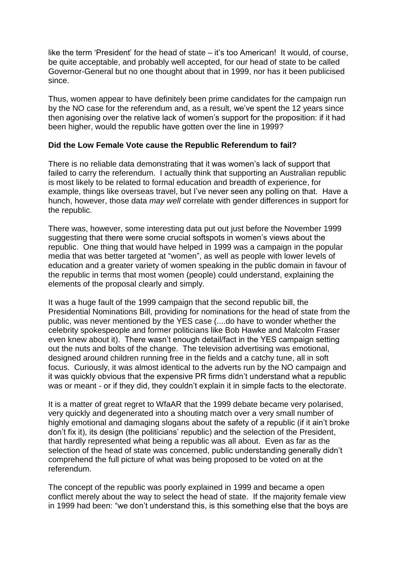like the term 'President' for the head of state – it's too American! It would, of course, be quite acceptable, and probably well accepted, for our head of state to be called Governor-General but no one thought about that in 1999, nor has it been publicised since.

Thus, women appear to have definitely been prime candidates for the campaign run by the NO case for the referendum and, as a result, we've spent the 12 years since then agonising over the relative lack of women's support for the proposition: if it had been higher, would the republic have gotten over the line in 1999?

## **Did the Low Female Vote cause the Republic Referendum to fail?**

There is no reliable data demonstrating that it was women's lack of support that failed to carry the referendum. I actually think that supporting an Australian republic is most likely to be related to formal education and breadth of experience, for example, things like overseas travel, but I've never seen any polling on that. Have a hunch, however, those data *may well* correlate with gender differences in support for the republic.

There was, however, some interesting data put out just before the November 1999 suggesting that there were some crucial softspots in women's views about the republic. One thing that would have helped in 1999 was a campaign in the popular media that was better targeted at "women", as well as people with lower levels of education and a greater variety of women speaking in the public domain in favour of the republic in terms that most women (people) could understand, explaining the elements of the proposal clearly and simply.

It was a huge fault of the 1999 campaign that the second republic bill, the Presidential Nominations Bill, providing for nominations for the head of state from the public, was never mentioned by the YES case (....do have to wonder whether the celebrity spokespeople and former politicians like Bob Hawke and Malcolm Fraser even knew about it). There wasn't enough detail/fact in the YES campaign setting out the nuts and bolts of the change. The television advertising was emotional, designed around children running free in the fields and a catchy tune, all in soft focus. Curiously, it was almost identical to the adverts run by the NO campaign and it was quickly obvious that the expensive PR firms didn't understand what a republic was or meant - or if they did, they couldn't explain it in simple facts to the electorate.

It is a matter of great regret to WfaAR that the 1999 debate became very polarised, very quickly and degenerated into a shouting match over a very small number of highly emotional and damaging slogans about the safety of a republic (if it ain't broke don't fix it), its design (the politicians' republic) and the selection of the President, that hardly represented what being a republic was all about. Even as far as the selection of the head of state was concerned, public understanding generally didn't comprehend the full picture of what was being proposed to be voted on at the referendum.

The concept of the republic was poorly explained in 1999 and became a open conflict merely about the way to select the head of state. If the majority female view in 1999 had been: "we don't understand this, is this something else that the boys are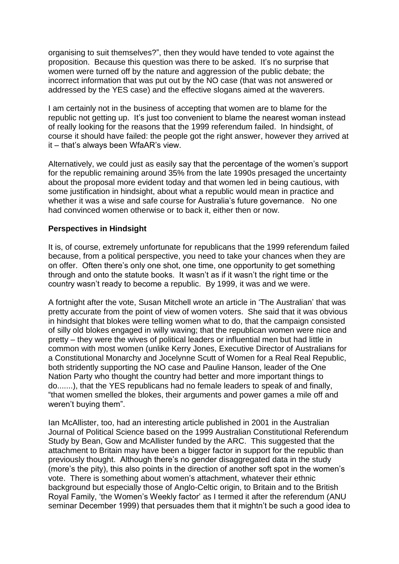organising to suit themselves?", then they would have tended to vote against the proposition. Because this question was there to be asked. It's no surprise that women were turned off by the nature and aggression of the public debate; the incorrect information that was put out by the NO case (that was not answered or addressed by the YES case) and the effective slogans aimed at the waverers.

I am certainly not in the business of accepting that women are to blame for the republic not getting up. It's just too convenient to blame the nearest woman instead of really looking for the reasons that the 1999 referendum failed. In hindsight, of course it should have failed: the people got the right answer, however they arrived at it – that's always been WfaAR's view.

Alternatively, we could just as easily say that the percentage of the women's support for the republic remaining around 35% from the late 1990s presaged the uncertainty about the proposal more evident today and that women led in being cautious, with some justification in hindsight, about what a republic would mean in practice and whether it was a wise and safe course for Australia's future governance. No one had convinced women otherwise or to back it, either then or now.

## **Perspectives in Hindsight**

It is, of course, extremely unfortunate for republicans that the 1999 referendum failed because, from a political perspective, you need to take your chances when they are on offer. Often there's only one shot, one time, one opportunity to get something through and onto the statute books. It wasn't as if it wasn't the right time or the country wasn't ready to become a republic. By 1999, it was and we were.

A fortnight after the vote, Susan Mitchell wrote an article in 'The Australian' that was pretty accurate from the point of view of women voters. She said that it was obvious in hindsight that blokes were telling women what to do, that the campaign consisted of silly old blokes engaged in willy waving; that the republican women were nice and pretty – they were the wives of political leaders or influential men but had little in common with most women (unlike Kerry Jones, Executive Director of Australians for a Constitutional Monarchy and Jocelynne Scutt of Women for a Real Real Republic, both stridently supporting the NO case and Pauline Hanson, leader of the One Nation Party who thought the country had better and more important things to do.......), that the YES republicans had no female leaders to speak of and finally, "that women smelled the blokes, their arguments and power games a mile off and weren't buying them".

Ian McAllister, too, had an interesting article published in 2001 in the Australian Journal of Political Science based on the 1999 Australian Constitutional Referendum Study by Bean, Gow and McAllister funded by the ARC. This suggested that the attachment to Britain may have been a bigger factor in support for the republic than previously thought. Although there's no gender disaggregated data in the study (more's the pity), this also points in the direction of another soft spot in the women's vote. There is something about women's attachment, whatever their ethnic background but especially those of Anglo-Celtic origin, to Britain and to the British Royal Family, 'the Women's Weekly factor' as I termed it after the referendum (ANU seminar December 1999) that persuades them that it mightn't be such a good idea to